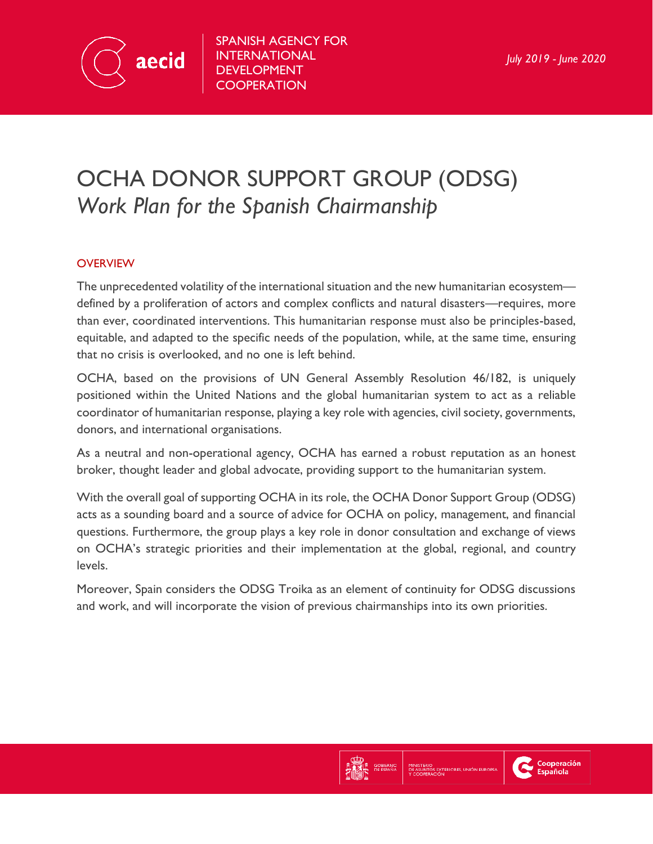

SPANISH AGENCY FOR INTERNATIONAL DEVELOPMENT **COOPERATION** 

# OCHA DONOR SUPPORT GROUP (ODSG) *Work Plan for the Spanish Chairmanship*

# **OVERVIEW**

The unprecedented volatility of the international situation and the new humanitarian ecosystem defined by a proliferation of actors and complex conflicts and natural disasters—requires, more than ever, coordinated interventions. This humanitarian response must also be principles-based, equitable, and adapted to the specific needs of the population, while, at the same time, ensuring that no crisis is overlooked, and no one is left behind.

OCHA, based on the provisions of UN General Assembly Resolution 46/182, is uniquely positioned within the United Nations and the global humanitarian system to act as a reliable coordinator of humanitarian response, playing a key role with agencies, civil society, governments, donors, and international organisations.

As a neutral and non-operational agency, OCHA has earned a robust reputation as an honest broker, thought leader and global advocate, providing support to the humanitarian system.

With the overall goal of supporting OCHA in its role, the OCHA Donor Support Group (ODSG) acts as a sounding board and a source of advice for OCHA on policy, management, and financial questions. Furthermore, the group plays a key role in donor consultation and exchange of views on OCHA's strategic priorities and their implementation at the global, regional, and country levels.

Moreover, Spain considers the ODSG Troika as an element of continuity for ODSG discussions and work, and will incorporate the vision of previous chairmanships into its own priorities.



Cooperación<br>Española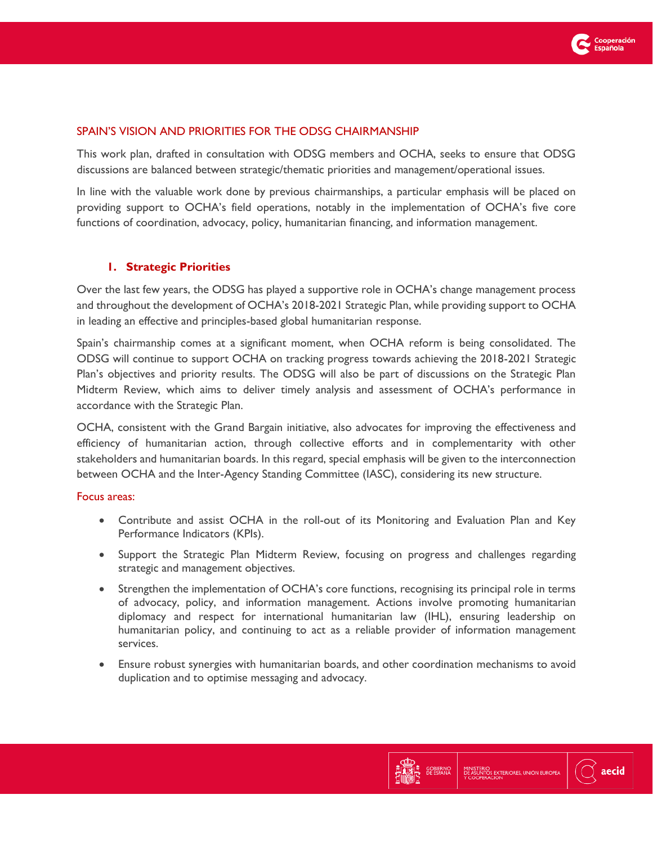

## SPAIN'S VISION AND PRIORITIES FOR THE ODSG CHAIRMANSHIP

This work plan, drafted in consultation with ODSG members and OCHA, seeks to ensure that ODSG discussions are balanced between strategic/thematic priorities and management/operational issues.

In line with the valuable work done by previous chairmanships, a particular emphasis will be placed on providing support to OCHA's field operations, notably in the implementation of OCHA's five core functions of coordination, advocacy, policy, humanitarian financing, and information management.

## **1. Strategic Priorities**

Over the last few years, the ODSG has played a supportive role in OCHA's change management process and throughout the development of OCHA's 2018-2021 Strategic Plan, while providing support to OCHA in leading an effective and principles-based global humanitarian response.

Spain's chairmanship comes at a significant moment, when OCHA reform is being consolidated. The ODSG will continue to support OCHA on tracking progress towards achieving the 2018-2021 Strategic Plan's objectives and priority results. The ODSG will also be part of discussions on the Strategic Plan Midterm Review, which aims to deliver timely analysis and assessment of OCHA's performance in accordance with the Strategic Plan.

OCHA, consistent with the Grand Bargain initiative, also advocates for improving the effectiveness and efficiency of humanitarian action, through collective efforts and in complementarity with other stakeholders and humanitarian boards. In this regard, special emphasis will be given to the interconnection between OCHA and the Inter-Agency Standing Committee (IASC), considering its new structure.

#### Focus areas:

- Contribute and assist OCHA in the roll-out of its Monitoring and Evaluation Plan and Key Performance Indicators (KPIs).
- Support the Strategic Plan Midterm Review, focusing on progress and challenges regarding strategic and management objectives.
- Strengthen the implementation of OCHA's core functions, recognising its principal role in terms of advocacy, policy, and information management. Actions involve promoting humanitarian diplomacy and respect for international humanitarian law (IHL), ensuring leadership on humanitarian policy, and continuing to act as a reliable provider of information management services.
- Ensure robust synergies with humanitarian boards, and other coordination mechanisms to avoid duplication and to optimise messaging and advocacy.

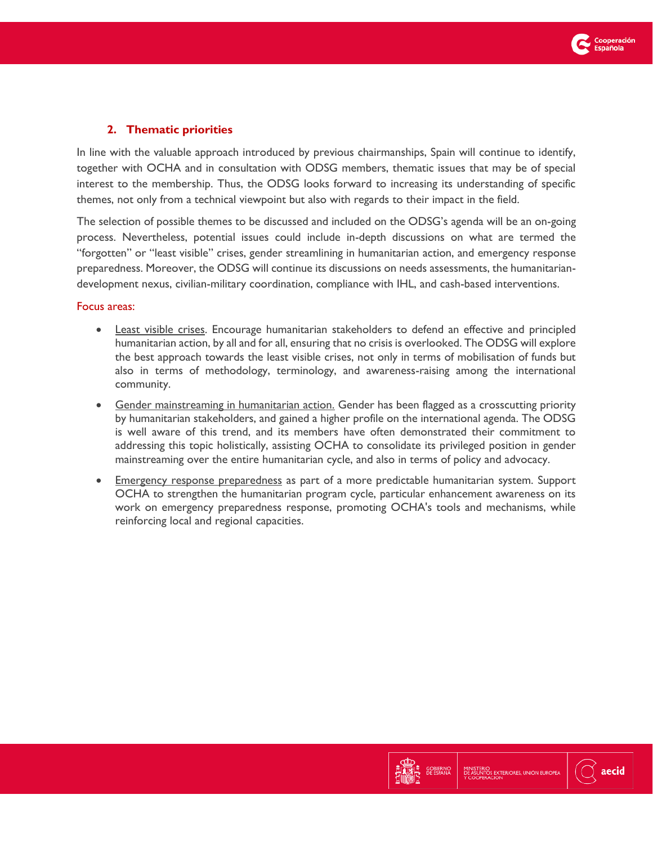

# **2. Thematic priorities**

In line with the valuable approach introduced by previous chairmanships, Spain will continue to identify, together with OCHA and in consultation with ODSG members, thematic issues that may be of special interest to the membership. Thus, the ODSG looks forward to increasing its understanding of specific themes, not only from a technical viewpoint but also with regards to their impact in the field.

The selection of possible themes to be discussed and included on the ODSG's agenda will be an on-going process. Nevertheless, potential issues could include in-depth discussions on what are termed the "forgotten" or "least visible" crises, gender streamlining in humanitarian action, and emergency response preparedness. Moreover, the ODSG will continue its discussions on needs assessments, the humanitariandevelopment nexus, civilian-military coordination, compliance with IHL, and cash-based interventions.

#### Focus areas:

- Least visible crises. Encourage humanitarian stakeholders to defend an effective and principled humanitarian action, by all and for all, ensuring that no crisis is overlooked. The ODSG will explore the best approach towards the least visible crises, not only in terms of mobilisation of funds but also in terms of methodology, terminology, and awareness-raising among the international community.
- Gender mainstreaming in humanitarian action. Gender has been flagged as a crosscutting priority by humanitarian stakeholders, and gained a higher profile on the international agenda. The ODSG is well aware of this trend, and its members have often demonstrated their commitment to addressing this topic holistically, assisting OCHA to consolidate its privileged position in gender mainstreaming over the entire humanitarian cycle, and also in terms of policy and advocacy.
- Emergency response preparedness as part of a more predictable humanitarian system. Support OCHA to strengthen the humanitarian program cycle, particular enhancement awareness on its work on emergency preparedness response, promoting OCHA's tools and mechanisms, while reinforcing local and regional capacities.

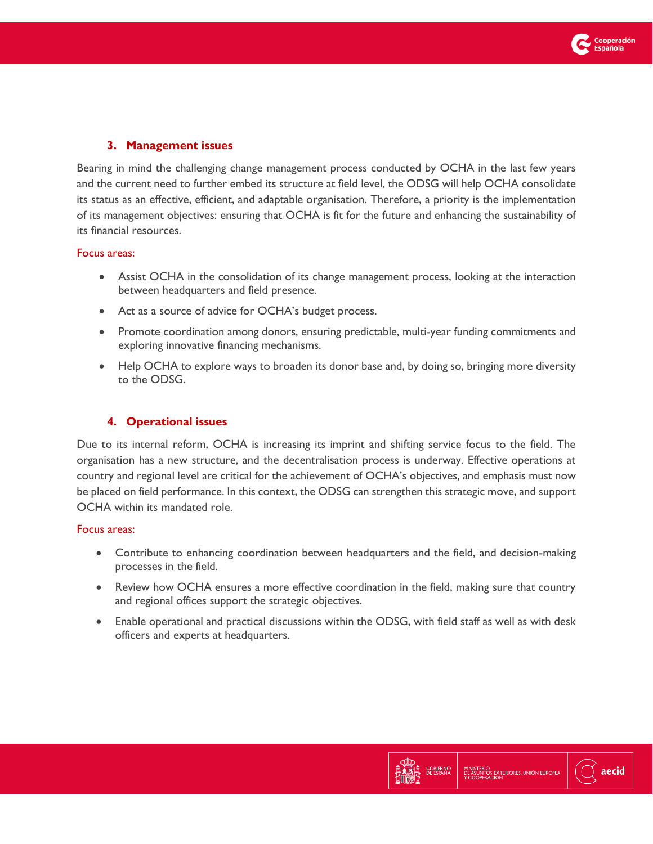

## **3. Management issues**

Bearing in mind the challenging change management process conducted by OCHA in the last few years and the current need to further embed its structure at field level, the ODSG will help OCHA consolidate its status as an effective, efficient, and adaptable organisation. Therefore, a priority is the implementation of its management objectives: ensuring that OCHA is fit for the future and enhancing the sustainability of its financial resources.

#### Focus areas:

- Assist OCHA in the consolidation of its change management process, looking at the interaction between headquarters and field presence.
- Act as a source of advice for OCHA's budget process.
- Promote coordination among donors, ensuring predictable, multi-year funding commitments and exploring innovative financing mechanisms.
- Help OCHA to explore ways to broaden its donor base and, by doing so, bringing more diversity to the ODSG.

## **4. Operational issues**

Due to its internal reform, OCHA is increasing its imprint and shifting service focus to the field. The organisation has a new structure, and the decentralisation process is underway. Effective operations at country and regional level are critical for the achievement of OCHA's objectives, and emphasis must now be placed on field performance. In this context, the ODSG can strengthen this strategic move, and support OCHA within its mandated role.

#### Focus areas:

- Contribute to enhancing coordination between headquarters and the field, and decision-making processes in the field.
- Review how OCHA ensures a more effective coordination in the field, making sure that country and regional offices support the strategic objectives.
- Enable operational and practical discussions within the ODSG, with field staff as well as with desk officers and experts at headquarters.